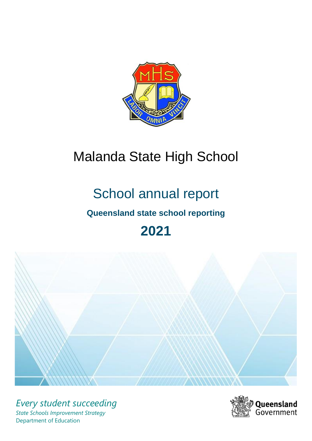

# Malanda State High School

# School annual report

# **Queensland state school reporting**

# **2021**



*Every student succeeding State Schools Improvement Strategy* Department of Education

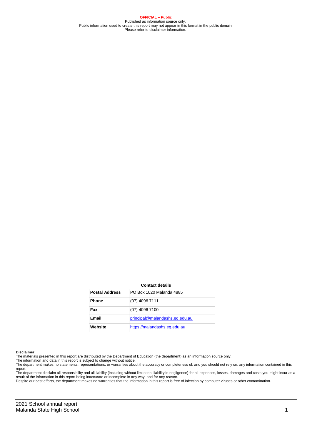**OFFICIAL – Public** Published as information source only. Public information used to create this report may not appear in this format in the public domain Please refer to disclaimer information.

#### **Contact details**

| <b>Postal Address</b> | PO Box 1020 Malanda 4885       |
|-----------------------|--------------------------------|
| <b>Phone</b>          | $(07)$ 4096 7111               |
| Fax                   | $(07)$ 4096 7100               |
| Email                 | principal@malandashs.eq.edu.au |
| Website               | https://malandashs.eq.edu.au   |

#### **Disclaimer**

The materials presented in this report are distributed by the Department of Education (the department) as an information source only. The information and data in this report is subject to change without notice.

The department makes no statements, representations, or warranties about the accuracy or completeness of, and you should not rely on, any information contained in this report.

The department disclaim all responsibility and all liability (including without limitation, liability in negligence) for all expenses, losses, damages and costs you might incur as a<br>result of the information in this report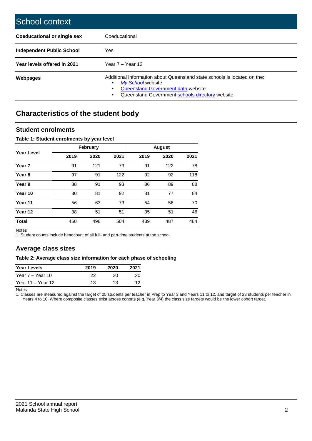| School context                     |                                                                                                                                                                                                |
|------------------------------------|------------------------------------------------------------------------------------------------------------------------------------------------------------------------------------------------|
| <b>Coeducational or single sex</b> | Coeducational                                                                                                                                                                                  |
| <b>Independent Public School</b>   | Yes                                                                                                                                                                                            |
| Year levels offered in 2021        | Year $7 -$ Year 12                                                                                                                                                                             |
| Webpages                           | Additional information about Queensland state schools is located on the:<br>My School website<br><b>Queensland Government data website</b><br>Queensland Government schools directory website. |

# **Characteristics of the student body**

## **Student enrolments**

#### **Table 1: Student enrolments by year level**

|                   |      | <b>February</b> |      |      | <b>August</b> |      |
|-------------------|------|-----------------|------|------|---------------|------|
| <b>Year Level</b> | 2019 | 2020            | 2021 | 2019 | 2020          | 2021 |
| Year <sub>7</sub> | 91   | 121             | 73   | 91   | 122           | 78   |
| Year <sub>8</sub> | 97   | 91              | 122  | 92   | 92            | 118  |
| Year 9            | 88   | 91              | 93   | 86   | 89            | 88   |
| Year 10           | 80   | 81              | 92   | 81   | 77            | 84   |
| Year 11           | 56   | 63              | 73   | 54   | 56            | 70   |
| Year 12           | 38   | 51              | 51   | 35   | 51            | 46   |
| <b>Total</b>      | 450  | 498             | 504  | 439  | 487           | 484  |

Notes

1. Student counts include headcount of all full- and part-time students at the school.

## **Average class sizes**

#### **Table 2: Average class size information for each phase of schooling**

| <b>Year Levels</b> | 2019 | 2020 | 2021 |
|--------------------|------|------|------|
| Year 7 – Year 10   | 22   | 20   | 20   |
| Year 11 – Year 12  | 13   | 13   | 12   |

Notes

1. Classes are measured against the target of 25 students per teacher in Prep to Year 3 and Years 11 to 12, and target of 28 students per teacher in Years 4 to 10. Where composite classes exist across cohorts (e.g. Year 3/4) the class size targets would be the lower cohort target.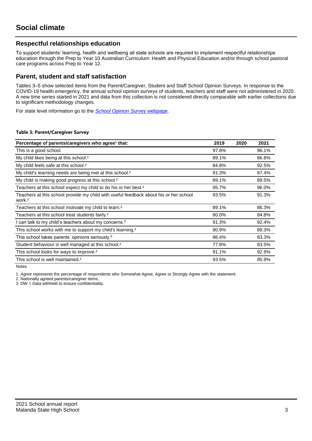## **Respectful relationships education**

To support students' learning, health and wellbeing all state schools are required to implement respectful relationships education through the Prep to Year 10 Australian Curriculum: Health and Physical Education and/or through school pastoral care programs across Prep to Year 12.

## **Parent, student and staff satisfaction**

Tables 3–5 show selected items from the Parent/Caregiver, Student and Staff School Opinion Surveys. In response to the COVID-19 health emergency, the annual school opinion surveys of students, teachers and staff were not administered in 2020. A new time series started in 2021 and data from this collection is not considered directly comparable with earlier collections due to significant methodology changes.

For state level information go to the *[School Opinion Survey](https://qed.qld.gov.au/publications/reports/statistics/schooling/schools/schoolopinionsurvey)* [webpage.](https://qed.qld.gov.au/publications/reports/statistics/schooling/schools/schoolopinionsurvey)

#### **Table 3: Parent/Caregiver Survey**

| Percentage of parents/caregivers who agree <sup>1</sup> that:                                               | 2019  | 2020 | 2021  |
|-------------------------------------------------------------------------------------------------------------|-------|------|-------|
| This is a good school.                                                                                      | 97.8% |      | 96.1% |
| My child likes being at this school. <sup>2</sup>                                                           | 89.1% |      | 86.8% |
| My child feels safe at this school. <sup>2</sup>                                                            | 84.8% |      | 92.5% |
| My child's learning needs are being met at this school. <sup>2</sup>                                        | 91.3% |      | 87.4% |
| My child is making good progress at this school. <sup>2</sup>                                               | 89.1% |      | 89.5% |
| Teachers at this school expect my child to do his or her best. <sup>2</sup>                                 | 95.7% |      | 96.0% |
| Teachers at this school provide my child with useful feedback about his or her school<br>work. <sup>2</sup> | 93.5% |      | 91.3% |
| Teachers at this school motivate my child to learn. <sup>2</sup>                                            | 89.1% |      | 86.3% |
| Teachers at this school treat students fairly. <sup>2</sup>                                                 | 80.0% |      | 84.8% |
| I can talk to my child's teachers about my concerns. <sup>2</sup>                                           | 91.3% |      | 92.4% |
| This school works with me to support my child's learning. <sup>2</sup>                                      | 90.9% |      | 89.3% |
| This school takes parents' opinions seriously. <sup>2</sup>                                                 | 86.4% |      | 83.3% |
| Student behaviour is well managed at this school. <sup>2</sup>                                              | 77.8% |      | 83.5% |
| This school looks for ways to improve. <sup>2</sup>                                                         | 91.1% |      | 92.9% |
| This school is well maintained. <sup>2</sup>                                                                | 93.5% |      | 95.9% |

Notes

1. *Agree* represents the percentage of respondents who Somewhat Agree, Agree or Strongly Agree with the statement.

2. Nationally agreed parents/caregiver items.

3. DW = Data withheld to ensure confidentiality.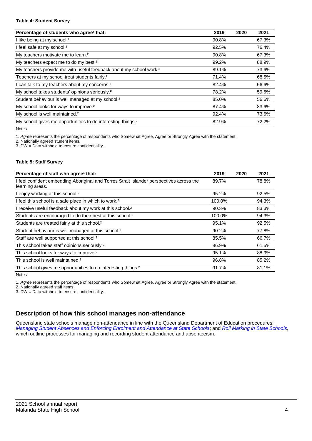#### **Table 4: Student Survey**

| Percentage of students who agree <sup>1</sup> that:                            | 2019  | 2020 | 2021  |
|--------------------------------------------------------------------------------|-------|------|-------|
| I like being at my school. <sup>2</sup>                                        | 90.8% |      | 67.3% |
| I feel safe at my school. <sup>2</sup>                                         | 92.5% |      | 76.4% |
| My teachers motivate me to learn. <sup>2</sup>                                 | 90.8% |      | 67.3% |
| My teachers expect me to do my best. <sup>2</sup>                              | 99.2% |      | 88.9% |
| My teachers provide me with useful feedback about my school work. <sup>2</sup> | 89.1% |      | 73.6% |
| Teachers at my school treat students fairly. <sup>2</sup>                      | 71.4% |      | 68.5% |
| can talk to my teachers about my concerns. <sup>2</sup>                        | 82.4% |      | 56.6% |
| My school takes students' opinions seriously. <sup>2</sup>                     | 78.2% |      | 59.6% |
| Student behaviour is well managed at my school. <sup>2</sup>                   | 85.0% |      | 56.6% |
| My school looks for ways to improve. <sup>2</sup>                              | 87.4% |      | 83.6% |
| My school is well maintained. <sup>2</sup>                                     | 92.4% |      | 73.6% |
| My school gives me opportunities to do interesting things. <sup>2</sup>        | 82.9% |      | 72.2% |

Notes

1. *Agree* represents the percentage of respondents who Somewhat Agree, Agree or Strongly Agree with the statement.

2. Nationally agreed student items.

3. DW = Data withheld to ensure confidentiality.

#### **Table 5: Staff Survey**

| Percentage of staff who agree <sup>1</sup> that:                                                            | 2019   | 2020 | 2021  |
|-------------------------------------------------------------------------------------------------------------|--------|------|-------|
| I feel confident embedding Aboriginal and Torres Strait Islander perspectives across the<br>learning areas. | 89.7%  |      | 78.8% |
| I enjoy working at this school. <sup>2</sup>                                                                | 95.2%  |      | 92.5% |
| I feel this school is a safe place in which to work. <sup>2</sup>                                           | 100.0% |      | 94.3% |
| I receive useful feedback about my work at this school. <sup>2</sup>                                        | 90.3%  |      | 83.3% |
| Students are encouraged to do their best at this school. <sup>2</sup>                                       | 100.0% |      | 94.3% |
| Students are treated fairly at this school. <sup>2</sup>                                                    | 95.1%  |      | 92.5% |
| Student behaviour is well managed at this school. <sup>2</sup>                                              | 90.2%  |      | 77.8% |
| Staff are well supported at this school. <sup>2</sup>                                                       | 85.5%  |      | 66.7% |
| This school takes staff opinions seriously. <sup>2</sup>                                                    | 86.9%  |      | 61.5% |
| This school looks for ways to improve. <sup>2</sup>                                                         | 95.1%  |      | 88.9% |
| This school is well maintained. <sup>2</sup>                                                                | 96.8%  |      | 85.2% |
| This school gives me opportunities to do interesting things. <sup>2</sup>                                   | 91.7%  |      | 81.1% |

Notes

1. *Agree* represents the percentage of respondents who Somewhat Agree, Agree or Strongly Agree with the statement.

2. Nationally agreed staff items.

3. DW = Data withheld to ensure confidentiality.

## **Description of how this school manages non-attendance**

Queensland state schools manage non-attendance in line with the Queensland Department of Education procedures: *[Managing Student Absences and Enforcing Enrolment and Attendance at State Schools](https://ppr.qed.qld.gov.au/pp/managing-student-absences-and-enforcing-enrolment-and-attendance-at-state-schools-procedure)*; and *[Roll Marking in State Schools,](https://ppr.qed.qld.gov.au/pp/roll-marking-in-state-schools-procedure)*  which outline processes for managing and recording student attendance and absenteeism.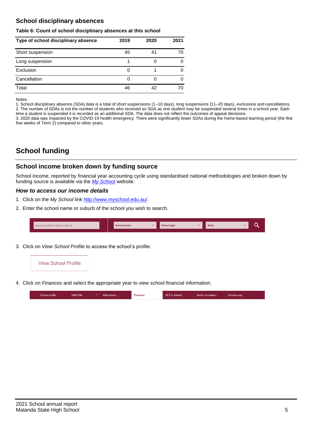# **School disciplinary absences**

#### **Table 6: Count of school disciplinary absences at this school**

| Type of school disciplinary absence | 2019 | 2020 | 2021 |
|-------------------------------------|------|------|------|
| Short suspension                    | 45   | 41   | 70   |
| Long suspension                     |      |      |      |
| Exclusion                           | U    |      |      |
| Cancellation                        | O    |      |      |
| Total                               | 46   | 42   | 70   |

#### Notes

1. School disciplinary absence (SDA) data is a total of short suspensions (1–10 days), long suspensions (11–20 days), exclusions and cancellations. 2. The number of SDAs is not the number of students who received an SDA as one student may be suspended several times in a school year. Each time a student is suspended it is recorded as an additional SDA. The data does not reflect the outcomes of appeal decisions.

3. 2020 data was impacted by the COVID-19 health emergency. There were significantly fewer SDAs during the home-based learning period (the first five weeks of Term 2) compared to other years.

# **School funding**

## **School income broken down by funding source**

School income, reported by financial year accounting cycle using standardised national methodologies and broken down by funding source is available via the *[My School](http://www.myschool.edu.au/)* website.

### *How to access our income details*

- 1. Click on the *My School* link [http://www.myschool.edu.au/.](http://www.myschool.edu.au/)
- 2. Enter the school name or suburb of the school you wish to search.

| Search by school name or suburb | <b>School sector</b> | <b>School type</b> | <b>State</b> |  |
|---------------------------------|----------------------|--------------------|--------------|--|
|                                 |                      |                    |              |  |

3. Click on *View School Profile* to access the school's profile.



4. Click on *Finances* and select the appropriate year to view school financial information.

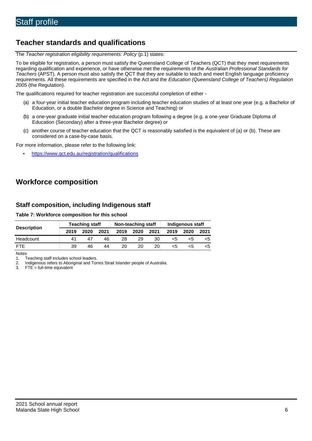# **Teacher standards and qualifications**

The *Teacher registration eligibility requirements: Policy* (p.1) states:

To be eligible for registration, a person must satisfy the Queensland College of Teachers (QCT) that they meet requirements regarding qualification and experience, or have otherwise met the requirements of the *Australian Professional Standards for Teachers* (APST). A person must also satisfy the QCT that they are suitable to teach and meet English language proficiency requirements. All these requirements are specified in the Act and the *Education (Queensland College of Teachers) Regulation 2005* (the Regulation).

The qualifications required for teacher registration are successful completion of either -

- (a) a four-year initial teacher education program including teacher education studies of at least one year (e.g. a Bachelor of Education, or a double Bachelor degree in Science and Teaching) or
- (b) a one-year graduate initial teacher education program following a degree (e.g. a one-year Graduate Diploma of Education (Secondary) after a three-year Bachelor degree) or
- (c) another course of teacher education that the QCT is reasonably satisfied is the equivalent of (a) or (b). These are considered on a case-by-case basis.

For more information, please refer to the following link:

• <https://www.qct.edu.au/registration/qualifications>

# **Workforce composition**

## **Staff composition, including Indigenous staff**

#### **Table 7: Workforce composition for this school**

| <b>Description</b> | <b>Teaching staff</b> |      |      | Non-teaching staff |      |      | Indigenous staff |      |      |
|--------------------|-----------------------|------|------|--------------------|------|------|------------------|------|------|
|                    | 2019                  | 2020 | 2021 | 2019               | 2020 | 2021 | 2019             | 2020 | 2021 |
| Headcount          | 41                    | 47   | 46   | 28                 | 29   | 30   | <5               | ה>   |      |
| <b>FTF</b>         | 39                    | 46   | 44   | 20                 | 20   | 20   | <5               | כ>   |      |

**Notes** 

1. Teaching staff includes school leaders.

2. Indigenous refers to Aboriginal and Torres Strait Islander people of Australia.<br>3. FTE = full-time equivalent

 $FTE = full-time equivalent$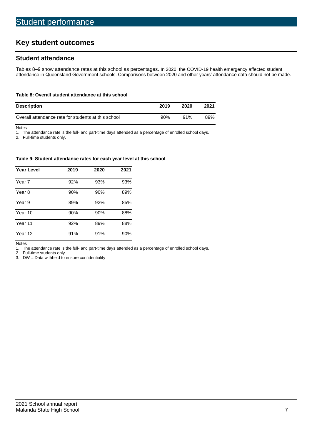# **Key student outcomes**

## **Student attendance**

Tables 8–9 show attendance rates at this school as percentages. In 2020, the COVID-19 health emergency affected student attendance in Queensland Government schools. Comparisons between 2020 and other years' attendance data should not be made.

### **Table 8: Overall student attendance at this school**

| <b>Description</b>                                  | 2019 | 2020 | 2021 |
|-----------------------------------------------------|------|------|------|
| Overall attendance rate for students at this school | 90%  | 91%  | 89%  |

Notes<br>1. Th

The attendance rate is the full- and part-time days attended as a percentage of enrolled school days.

2. Full-time students only.

#### **Table 9: Student attendance rates for each year level at this school**

| <b>Year Level</b> | 2019 | 2020 | 2021 |
|-------------------|------|------|------|
| Year 7            | 92%  | 93%  | 93%  |
| Year 8            | 90%  | 90%  | 89%  |
| Year 9            | 89%  | 92%  | 85%  |
| Year 10           | 90%  | 90%  | 88%  |
| Year 11           | 92%  | 89%  | 88%  |
| Year 12           | 91%  | 91%  | 90%  |

Notes

1. The attendance rate is the full- and part-time days attended as a percentage of enrolled school days.

Full-time students only.

3. DW = Data withheld to ensure confidentiality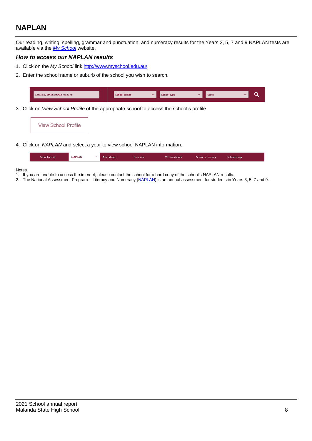# **NAPLAN**

Our reading, writing, spelling, grammar and punctuation, and numeracy results for the Years 3, 5, 7 and 9 NAPLAN tests are available via the *[My School](http://www.myschool.edu.au/)* website.

## *How to access our NAPLAN results*

- 1. Click on the *My School* link [http://www.myschool.edu.au/.](http://www.myschool.edu.au/)
- 2. Enter the school name or suburb of the school you wish to search.



3. Click on *View School Profile* of the appropriate school to access the school's profile.



4. Click on *NAPLAN* and select a year to view school NAPLAN information.

| School profile | <b>NAPLAN</b> | Attendance | <b>Finances</b> | <b>VET</b> in schools | Senior secondary | Schools map |  |
|----------------|---------------|------------|-----------------|-----------------------|------------------|-------------|--|
|                |               |            |                 |                       |                  |             |  |

#### Notes

- 1. If you are unable to access the internet, please contact the school for a hard copy of the school's NAPLAN results.
- 2. The National Assessment Program Literacy and Numeracy [\(NAPLAN\)](http://www.nap.edu.au/naplan) is an annual assessment for students in Years 3, 5, 7 and 9.